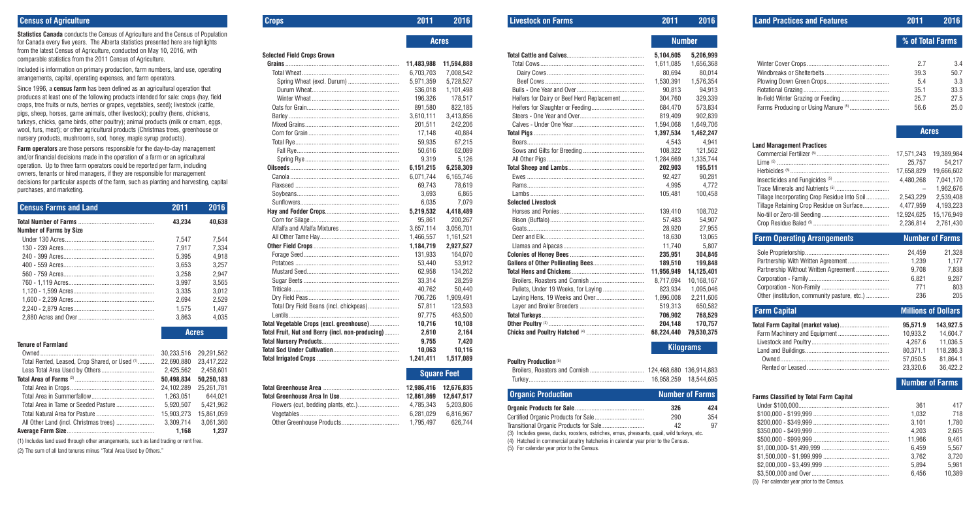# **Census of Agriculture**

**Statistics Canada** conducts the Census of Agriculture and the Census of Population for Canada every five years. The Alberta statistics presented here are highlights from the latest Census of Agriculture, conducted on May 10, 2016, with comparable statistics from the 2011 Census of Agriculture.

Included is information on primary production, farm numbers, land use, operating arrangements, capital, operating expenses, and farm operators.

Since 1996, a **census farm** has been defined as an agricultural operation that produces at least one of the following products intended for sale: crops (hay, field crops, tree fruits or nuts, berries or grapes, vegetables, seed); livestock (cattle, pigs, sheep, horses, game animals, other livestock); poultry (hens, chickens, turkeys, chicks, game birds, other poultry); animal products (milk or cream, eggs, wool, furs, meat); or other agricultural products (Christmas trees, greenhouse or nursery products, mushrooms, sod, honey, maple syrup products).

**Farm operators** are those persons responsible for the day-to-day management and/or financial decisions made in the operation of a farm or an agricultural operation. Up to three farm operators could be reported per farm, including owners, tenants or hired managers, if they are responsible for management decisions for particular aspects of the farm, such as planting and harvesting, capital purchases, and marketing.

| <b>Census Farms and Land</b>   | 2011   | 2016   |
|--------------------------------|--------|--------|
|                                | 43.234 | 40.638 |
| <b>Number of Farms by Size</b> |        |        |
|                                | 7.547  | 7.544  |
|                                | 7.917  | 7.334  |
|                                | 5.395  | 4.918  |
|                                | 3.653  | 3.257  |
|                                | 3.258  | 2.947  |
|                                | 3.997  | 3.565  |
|                                | 3.335  | 3.012  |
|                                | 2.694  | 2.529  |
|                                | 1.575  | 1.497  |
|                                | 3.863  | 4.035  |

**Acres**

### **Tenure of Farmland**

|                                                | 30.233.516 | 29.291.562 |
|------------------------------------------------|------------|------------|
| Total Rented, Leased, Crop Shared, or Used (1) | 22.690.880 | 23.417.222 |
|                                                | 2.425.562  | 2.458.601  |
|                                                | 50.498.834 | 50.250.183 |
|                                                | 24.102.289 | 25.261.781 |
|                                                | 1.263.051  | 644.021    |
| Total Area in Tame or Seeded Pasture           | 5.920.507  | 5.421.962  |
|                                                | 15.903.273 | 15.861.059 |
| All Other Land (incl. Christmas trees)         | 3.309.714  | 3.061.360  |
|                                                | 1.168      | 1.237      |

(1) Includes land used through other arrangements, such as land trading or rent free.

(2) The sum of all land tenures minus "Total Area Used by Others."

# **Crops 2011 2016**

**Acres**

**Selected Field Crops Grown**

**Grains** ..................................................................... **11,483,988 11,594,888** Total Wheat........................................................... 6,703,703 7,008,542 Spring Wheat (excl. Durum) ............................... 5,971,359 5,728,527 Durum Wheat..................................................... 536,018 1,101,498 Winter Wheat ..................................................... 196,326 178,517 Oats for Grain........................................................ 891,580 822,185 Barley ................................................................... 3,610,111 3,413,856 Mixed Grains......................................................... 201,511 242,206 Corn for Grain ....................................................... 17,148 40,884 Total Rye............................................................... 59,935 67,215 Fall Rye.............................................................. 50,616 62,089 Spring Rye......................................................... 9,319 5,126 **Oilseeds** .................................................................. **6,151,215 6,258,309** Canola .................................................................. 6,071,744 6,165,746 Flaxseed ............................................................... 69,743 78,619 Soybeans.............................................................. 3,693 6,865 Sunflowers............................................................ 6,035 7,079 **Hay and Fodder Crops**............................................. **5,219,532 4,418,489** Corn for Silage...................................................... 95,861 200,267 Alfalfa and Alfalfa Mixtures .................................... 3,657,114 3,056,701 All Other Tame Hay................................................ 1,466,557 1,161,521 **Other Field Crops** .................................................... **1,184,719 2,927,527** Forage Seed.......................................................... 131,933 164,070 Potatoes ............................................................... 53,440 53,912 Mustard Seed........................................................ 62,958 134,262 Sugar Beets .......................................................... 33,314 28,259 Triticale ................................................................. 40,762 50,440 Dry Field Peas....................................................... 706,726 1,909,491 Total Dry Field Beans (incl. chickpeas)................... 57,811 123,593 Lentils................................................................... 97,775 463,500 **Total Vegetable Crops (excl. greenhouse)**.................. **10,716 10,108 Total Fruit, Nut and Berry (incl. non-producing)**......... **2,610 2,164 Total Nursery Products**............................................... **9,755 7,420 Total Sod Under Cultivation**........................................ **10,063 10,116 Total Irrigated Crops** .................................................. **1,241,411 1,517,089**

**Square Feet**

**Total Greenhouse Area** .............................................. **12,986,416 12,676,835 Total Greenhouse Area In Use**.................................... **12,861,869 12,647,517** Flowers (cut, bedding plants, etc.)......................... 4,785,343 5,203,806 Vegetables ............................................................ 6,281,029 6,816,967 Other Greenhouse Products................................... 1,795,497 626,744

## **Livestock on Farms 2011 2016**

**Number**

|                                            |            | NUMBU      |
|--------------------------------------------|------------|------------|
|                                            | 5,104,605  | 5,206,999  |
|                                            | 1,611,085  | 1,656,368  |
|                                            | 80.694     | 80.014     |
|                                            | 1.530.391  | 1,576,354  |
|                                            | 90,813     | 94.913     |
| Heifers for Dairy or Beef Herd Replacement | 304.760    | 329.339    |
|                                            | 684.470    | 573,834    |
|                                            | 819,409    | 902,839    |
|                                            | 1,594,068  | 1,649,706  |
|                                            | 1,397,534  | 1,462,247  |
|                                            | 4.543      | 4.941      |
|                                            | 108.322    | 121,562    |
|                                            | 1,284,669  | 1,335,744  |
|                                            | 202,903    | 195,511    |
|                                            | 92,427     | 90,281     |
|                                            | 4,995      | 4,772      |
|                                            | 105,481    | 100,458    |
| <b>Selected Livestock</b>                  |            |            |
|                                            | 139,410    | 108,702    |
|                                            | 57,483     | 54,907     |
|                                            | 28,920     | 27,955     |
|                                            | 18,630     | 13,065     |
|                                            | 11,740     | 5,807      |
|                                            | 235,951    | 304,846    |
|                                            | 189,510    | 199,848    |
|                                            | 11,956,949 | 14,125,401 |
|                                            | 8,717,694  | 10,168,167 |
|                                            | 823.934    | 1,095,046  |
|                                            | 1,896,008  | 2,211,606  |
|                                            | 519,313    | 650,582    |
|                                            | 706,902    | 768,529    |
|                                            | 204.148    | 170,757    |
|                                            | 68.224.440 | 79.530.375 |
|                                            |            |            |

# **Kilograms**

### **Poultry Production** (5)

| <b>I AMINI À I IAMMANIANI</b> |                        |
|-------------------------------|------------------------|
|                               |                        |
|                               | 16.958.259  18.544.695 |

| <b>Organic Production</b><br><b>Number of Farms</b>                                        |     |     |
|--------------------------------------------------------------------------------------------|-----|-----|
|                                                                                            | 326 | 424 |
|                                                                                            | 290 | 354 |
|                                                                                            | 42  | 97  |
| (3) Includes geese, ducks, roosters, ostriches, emus, pheasants, quail, wild turkeys, etc. |     |     |

(4) Hatched in commercial poultry hatcheries in calendar year prior to the Census.

(5) For calendar year prior to the Census.

| <b>Land Practices and Features</b>                                                                                            | $\overline{2011}$                                                                                    | 2016                                                                                                              |
|-------------------------------------------------------------------------------------------------------------------------------|------------------------------------------------------------------------------------------------------|-------------------------------------------------------------------------------------------------------------------|
|                                                                                                                               |                                                                                                      | % of Total Farms                                                                                                  |
| In-field Winter Grazing or Feeding<br>Farms Producing or Using Manure (5)                                                     | 2.7<br>39.3<br>5.4<br>35.1<br>25.7<br>56.6                                                           | 3.4<br>50.7<br>3.3<br>33.3<br>27.5<br>25.0                                                                        |
|                                                                                                                               |                                                                                                      | <b>Acres</b>                                                                                                      |
| <b>Land Management Practices</b><br>Tillage Incorporating Crop Residue Into Soil<br>Tillage Retaining Crop Residue on Surface | 17,571,243<br>25,757<br>17,658,829<br>4,480,268<br>2,543,229<br>4,477,959<br>12,924,625<br>2,236,814 | 19,389,984<br>54,217<br>19,666,602<br>7,041,170<br>1,962,676<br>2,539,408<br>4,193,223<br>15,176,949<br>2,761,430 |
| <b>Farm Operating Arrangements</b>                                                                                            |                                                                                                      | <b>Number of Farms</b>                                                                                            |
| Partnership With Written Agreement<br>Partnership Without Written Agreement<br>Other (institution, community pasture, etc.)   | 24,459<br>1,239<br>9,708<br>6,821<br>771<br>236                                                      | 21,328<br>1,177<br>7,838<br>9,287<br>803<br>205                                                                   |
| <b>Farm Capital</b>                                                                                                           |                                                                                                      | <b>Millions of Dollars</b>                                                                                        |
| Total Farm Capital (market value)<br>Farm Machinery and Equipment                                                             | 95,571.9<br>10,933.2<br>4,267.6<br>80,371.1<br>57,050.5<br>23,320.6                                  | 143,927.5<br>14,604.7<br>11,036.5<br>118,286.3<br>81,864.1<br>36,422.2<br><b>Number of Farms</b>                  |
| <b>Farms Classified by Total Farm Capital</b>                                                                                 |                                                                                                      |                                                                                                                   |
|                                                                                                                               | 361<br>1,032<br>3,101<br>4,203<br>11,966<br>6,459<br>3,762<br>5,894<br>6,456                         | 417<br>718<br>1,780<br>2,605<br>9,461<br>5,567<br>3,720<br>5,981<br>10,389                                        |

(5) For calendar year prior to the Census.